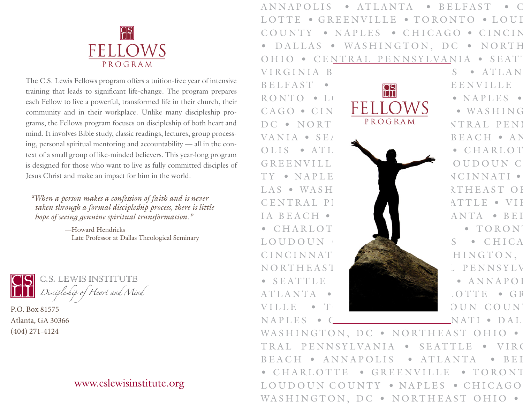

The C.S. Lewis Fellows program offers a tuition-free year of intensive training that leads to significant life-change. The program prepares each Fellow to live a powerful, transformed life in their church, their community and in their workplace. Unlike many discipleship programs, the Fellows program focuses on discipleship of both heart and mind. It involves Bible study, classic readings, lectures, group processing, personal spiritual mentoring and accountability — all in the context of a small group of like-minded believers. This year-long program is designed for those who want to live as fully committed disciples of Jesus Christ and make an impact for him in the world.

*"When a person makes a confession of faith and is never taken through a formal discipleship process, there is little hope of seeing genuine spiritual transformation."*

> —Howard Hendricks Late Professor at Dallas Theological Seminary



*Discipleship of Heart and Mind*

P.O. Box 81575 Atlanta, GA 30366 (404) 271-4124

## [www.cslewisinstitute.org](https://www.cslewisinstitute.org/)

ANNAPOLIS • ATLANTA • BELFAST • C LOTTE • GREENVILLE • TORONTO • LOUI COUNTY • NAPLES • CHICAGO • CINCIN DALLAS • WASHINGTON, DC • NORTH OHIO • CENTRAL PENNSYLVANIA • SEATT



WASHINGTON, DC . NORTHEAST OHIO . TRAL PENNSYLVANIA • SEATTLE • VIRG BEACH • ANNAPOLIS • ATLANTA • BEI CHARLOTTE • GREENVILLE • TORONT LOUDOUN COUNTY • NAPLES • CHICAGO WASHINGTON, DC · NORTHEAST OHIO ·